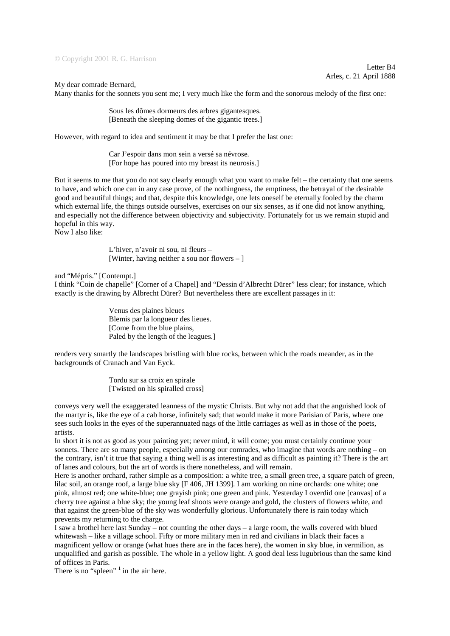© Copyright 2001 R. G. Harrison

Letter B4 Arles, c. 21 April 1888

## My dear comrade Bernard,

Many thanks for the sonnets you sent me; I very much like the form and the sonorous melody of the first one:

Sous les dômes dormeurs des arbres gigantesques*.* [Beneath the sleeping domes of the gigantic trees.]

However, with regard to idea and sentiment it may be that I prefer the last one:

Car J'espoir dans mon sein a versé sa névrose*.* [For hope has poured into my breast its neurosis.]

But it seems to me that you do not say clearly enough what you want to make felt – the certainty that one seems to have, and which one can in any case prove, of the nothingness, the emptiness, the betrayal of the desirable good and beautiful things; and that, despite this knowledge, one lets oneself be eternally fooled by the charm which external life, the things outside ourselves, exercises on our six senses, as if one did not know anything, and especially not the difference between objectivity and subjectivity. Fortunately for us we remain stupid and hopeful in this way. Now I also like:

> L'hiver, n'avoir ni sou, ni fleurs – [Winter, having neither a sou nor flowers – ]

and "Mépris." [Contempt.]

I think "Coin de chapelle" [Corner of a Chapel] and "Dessin d'Albrecht Dürer" less clear; for instance, which exactly is the drawing by Albrecht Dürer? But nevertheless there are excellent passages in it:

> Venus des plaines bleues Blemis par la longueur des lieues. [Come from the blue plains, Paled by the length of the leagues.]

renders very smartly the landscapes bristling with blue rocks, between which the roads meander, as in the backgrounds of Cranach and Van Eyck.

> Tordu sur sa croix en spirale [Twisted on his spiralled cross]

conveys very well the exaggerated leanness of the mystic Christs. But why not add that the anguished look of the martyr is, like the eye of a cab horse, infinitely sad; that would make it more Parisian of Paris, where one sees such looks in the eyes of the superannuated nags of the little carriages as well as in those of the poets, artists.

In short it is not as good as your painting yet; never mind, it will come; you must certainly continue your sonnets. There are so many people, especially among our comrades, who imagine that words are nothing – on the contrary, isn't it true that saying a thing well is as interesting and as difficult as painting it? There is the art of lanes and colours, but the art of words is there nonetheless, and will remain.

Here is another orchard, rather simple as a composition: a white tree, a small green tree, a square patch of green, lilac soil, an orange roof, a large blue sky [F 406, JH 1399]. I am working on nine orchards: one white; one pink, almost red; one white-blue; one grayish pink; one green and pink. Yesterday I overdid one [canvas] of a cherry tree against a blue sky; the young leaf shoots were orange and gold, the clusters of flowers white, and that against the green-blue of the sky was wonderfully glorious. Unfortunately there is rain today which prevents my returning to the charge.

I saw a brothel here last Sunday – not counting the other days – a large room, the walls covered with blued whitewash – like a village school. Fifty or more military men in red and civilians in black their faces a magnificent yellow or orange (what hues there are in the faces here), the women in sky blue, in vermilion, as unqualified and garish as possible. The whole in a yellow light. A good deal less lugubrious than the same kind of offices in Paris.

There is no "spleen"  $\frac{1}{1}$  in the air here.